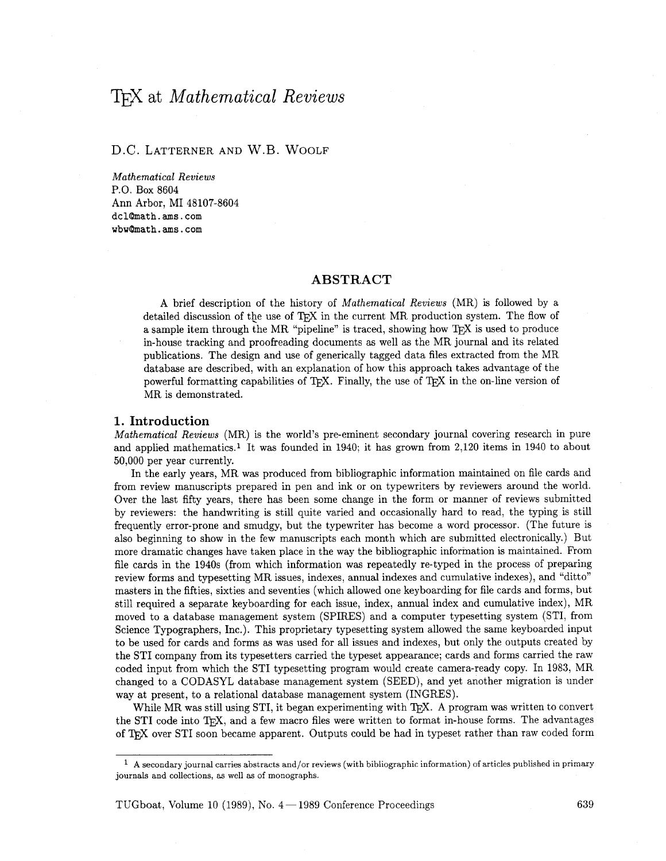# T<sub>F</sub>X at *Mathematical Reviews*

## D.C. LATTERNER AND W.B. WOOLF

*Mathematical Reviews*  P.O. Box 8604 Ann Arbor, MI 48107-8604 dcl@math.ams.com  $v$ bw@math.ams.com

#### **ABSTRACT**

A brief description of the history of *Mathematical Reviews* (MR) is followed by a detailed discussion of the use of  $T_{\rm F}X$  in the current MR production system. The flow of a sample item through the MR "pipeline" is traced, showing how  $T<sub>F</sub>X$  is used to produce in-house tracking and proofreading documents as well as the MR journal and its related publications. The design and use of generically tagged data files extracted from the MR database are described, with an explanation of how this approach takes advantage of the powerful formatting capabilities of  $T_{\rm F}X$ . Finally, the use of  $T_{\rm F}X$  in the on-line version of MR is demonstrated.

#### *1.* **Introduction**

*Mathematical Reviews* (MR) is the world's pre-eminent secondary journal covering research in pure and applied mathematics.1 It was founded in 1940; it has grown from 2,120 items in 1940 to about 50,000 per year currently.

In the early years, MR was produced from bibliographic information maintained on file cards and from review manuscripts prepared in pen and ink or on typewriters by reviewers around the world. Over the last fifty years, there has been some change in the form or manner of reviews submitted by reviewers: the handwriting is still quite varied and occasionally hard to read, the typing is still frequently error-prone and smudgy, but the typewriter has become a word processor. (The future is also beginning to show in the few manuscripts each month which are submitted electronically.) But more dramatic changes have taken place in the way the bibliographic information is maintained. From file cards in the 1940s (from which information was repeatedly re-typed in the process of preparing review forms and typesetting MR issues, indexes, annual indexes and cumulative indexes), and "ditto" masters in the fifties, sixties and seventies (which allowed one keyboarding for file cards and forms, but still required a separate keyboarding for each issue, index, annual index and cumulative index), MR moved to a database management system (SPIRES) and a computer typesetting system (STI, from Science Typographers, Inc.). This proprietary typesetting system allowed the same keyboarded input to be used for cards and forms as was used for all issues and indexes, but only the outputs created by the ST1 company from its typesetters carried the typeset appearance; cards and forms carried the raw coded input from which the ST1 typesetting program would create camera-ready copy. In 1983, MR changed to a CODASYL database management system (SEED), and yet another migration is under way at present, to a relational database management system (INGRES).

While MR was still using STI, it began experimenting with  $T_{\rm F}X$ . A program was written to convert the STI code into T<sub>F</sub>X, and a few macro files were written to format in-house forms. The advantages of T<sub>F</sub>X over STI soon became apparent. Outputs could be had in typeset rather than raw coded form

**A** secondary journal carries abstracts and/or reviews (with bibliographic information) of articles published in primary journals and collections, **as** well **as** of monographs.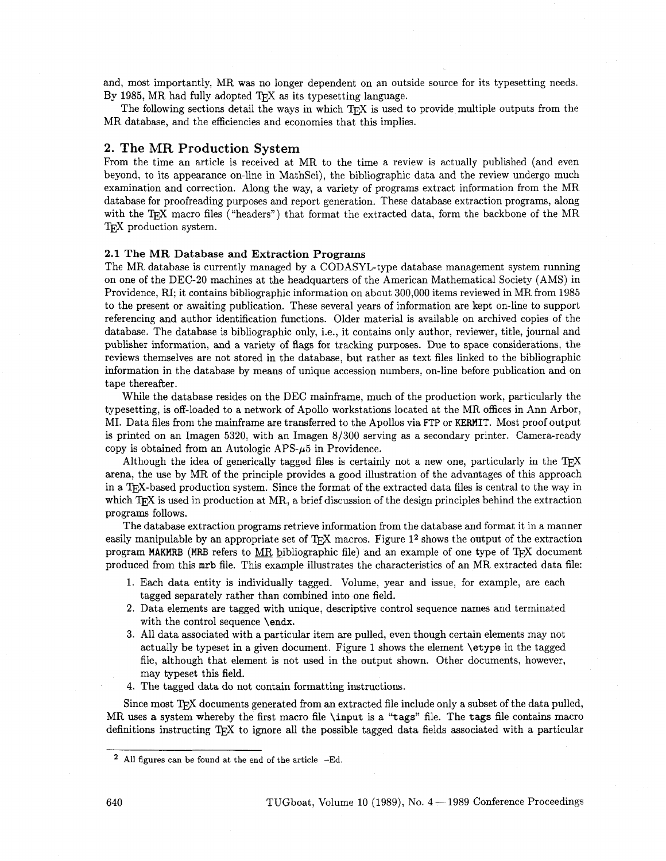and, most importantly, MR was no longer dependent on an outside source for its typesetting needs. By 1985, MR had fully adopted TEX as its typesetting language.

The following sections detail the ways in which  $T<sub>F</sub>X$  is used to provide multiple outputs from the MR database, and the efficiencies and economies that this implies.

#### **2. The** MR **Production** System

From the time an article is received at MR to the time a review is actually published (and even beyond, to its appearance on-line in MathSci), the bibliographic data and the review undergo much examination and correction. Along the way, a variety of programs extract information from the MR database for proofreading purposes and report generation. These database extraction programs, along with the T<sub>F</sub>X macro files ("headers") that format the extracted data, form the backbone of the MR TEX production system.

#### 2.1 **The** MR Database and Extraction Programs

The MR database is currently managed by a CODASYL-type database management system running on one of the DEC-20 machines at the headquarters of the American Mathematical Society (AMS) in Providence, **RI;** it contains bibliographic information on about 300,000 items reviewed in MR from 1985 to the present or awaiting publication. These several years of information are kept on-line to support referencing and author identification functions. Older material is available on archived copies of the database. The database is bibliographic only, i.e., it contains only author, reviewer, title, journal and publisher information, and a variety of flags for tracking purposes. Due to space considerations, the reviews themselves are not stored in the database, but rather as text files linked to the bibliographic information in the database by means of unique accession numbers, on-line before publication and on tape thereafter.

While the database resides on the DEC mainframe, much of the production work, particularly the typesetting, is off-loaded to a network of Apollo workstations located at the MR offices in Ann Arbor, MI. Data files from the mainframe are transferred to the Apollos via FTP or KERMIT. Most proof output is printed on an Imagen  $5320$ , with an Imagen  $8/300$  serving as a secondary printer. Camera-ready copy is obtained from an Autologic APS- $\mu$ 5 in Providence.

Although the idea of generically tagged files is certainly not a new one, particularly in the T<sub>F</sub>X arena, the use by MR of the principle provides a good illustration of the advantages of this approach in a T<sub>F</sub>X-based production system. Since the format of the extracted data files is central to the way in which T<sub>R</sub>X is used in production at MR, a brief discussion of the design principles behind the extraction programs follows.

The database extraction programs retrieve information from the database and format it in a manner easily manipulable by an appropriate set of T<sub>F</sub>X macros. Figure  $1<sup>2</sup>$  shows the output of the extraction program MAKMRB (MRB refers to MR bibliographic file) and an example of one type of T<sub>E</sub>X document produced from this **mrb** file. This example illustrates the characteristics of an MR extracted data file:

- 1. Each data entity is individually tagged. Volume, year and issue, for example, are each tagged separately rather than combined into one field.
- 2. Data elements are tagged with unique, descriptive control sequence names and terminated with the control sequence **\endx.**
- **3.** All data associated with a particular item are pulled, even though certain elements may not actually be typeset in a given document. Figure 1 shows the element **\etype** in the tagged file, although that element is not used in the output shown. Other documents, however, may typeset this field.
- 4. The tagged data do not contain formatting instructions.

Since most T<sub>F</sub>X documents generated from an extracted file include only a subset of the data pulled, MR uses **a** system whereby the fist macro file **\input** is a **"tags"** file. The **tags** file contains macro definitions instructing TFX to ignore all the possible tagged data fields associated with a particular

All figures can be found at the end of the article -Ed.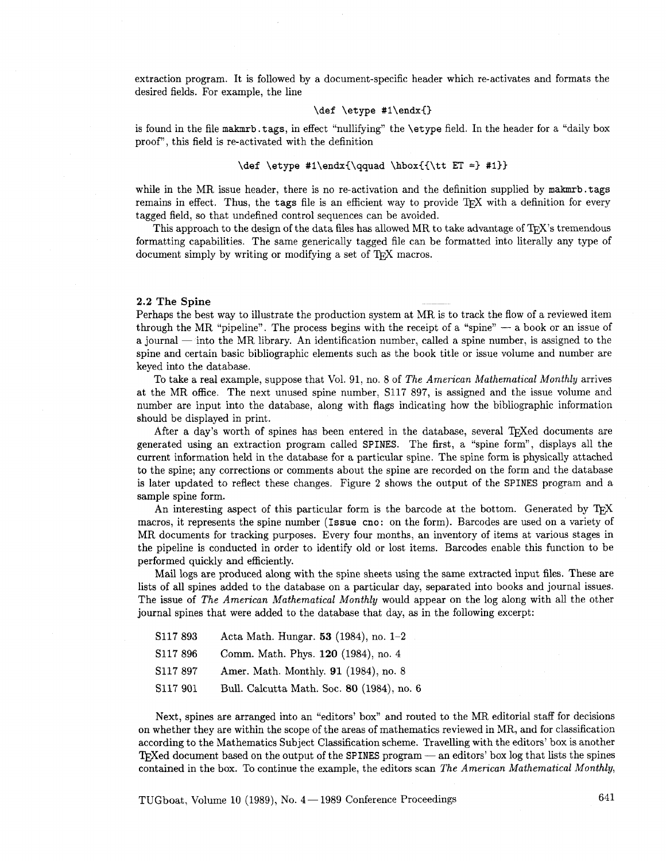extraction program. It is followed by a document-specific header which re-activates and formats the desired fields. For example, the line

#### \def \etype #1\endx{}

is found in the file makmrb. tags, in effect "nullifying" the \etype field. In the header for a "daily box proof", this field is re-activated with the definition

#### \def \etype #1\endx{\qquad \hbox{{\tt ET =} #1}}

while in the MR issue header, there is no re-activation and the definition supplied by makmrb. tags remains in effect. Thus, the tags file is an efficient way to provide TEX with a definition for every tagged field, so that undefined control sequences can be avoided.

This approach to the design of the data files has allowed  $MR$  to take advantage of T<sub>E</sub>X's tremendous formatting capabilities. The same generically tagged file can be formatted into literally any type of document simply by writing or modifying a set of T<sub>F</sub>X macros.

# **2.2 The Spine** --

Perhaps the best way to illustrate the production system at MR is to track the flow of a reviewed item **2.2 The Spine**<br>Perhaps the best way to illustrate the production system at MR is to track the flow of a reviewed item<br>through the MR "pipeline". The process begins with the receipt of a "spine"  $-$  a book or an issue of a journal - into the MR library. An identification number, called a spine number, is assigned to the spine and certain basic bibliographic elements such as the book title or issue volume and number are keyed into the database.

To take a real example, suppose that Vol. 91, no. 8 of The American Mathematical Monthly arrives at the MR office. The next unused spine number, S117 897, is assigned and the issue volume and number are input into the database, along with flags indicating how the bibliographic information should be displayed in print.

After a day's worth of spines has been entered in the database, several TFXed documents are generated using an extraction program called SPINES. The first, a "spine form", displays all the current information held in the database for a particular spine. The spine form is physically attached to the spine; any corrections or comments about the spine are recorded on the form and the database is later updated to reflect these changes. Figure **2** shows the output of the SPINES program and a sample spine form.

An interesting aspect of this particular form is the barcode at the bottom. Generated by T<sub>R</sub>X macros, it represents the spine number (Issue **cno:** on the form). Barcodes are used on a variety of MR documents for tracking purposes. Every four months, an inventory of items at various stages in the pipeline is conducted in order to identify old or lost items. Barcodes enable this function to be performed quickly and efficiently.

Mail logs are produced along with the spine sheets using the same extracted input files. These are lists of all spines added to the database on a particular day, separated into books and journal issues. The issue of The American Mathematical Monthly would appear on the log along with all the other journal spines that were added to the database that day, **as** in the following excerpt:

| S117 893 | Acta Math. Hungar. 53 (1984), no. 1-2 |  |  |  |
|----------|---------------------------------------|--|--|--|
|----------|---------------------------------------|--|--|--|

- S117 896 Comm. Math. Phys. **120** (1984), no. 4
- S117 897 Amer. Math. Monthly. 91 (1984), no. 8
- S117 901 Bull. Calcutta Math. Soc. **80** (1984), no. 6

Next, spines are arranged into an "editors' box" and routed to the MR editorial staff for decisions on whether they are within the scope of the areas of mathematics reviewed in MR, and for classification according to the Mathematics Subject Classification scheme. Travelling with the editors' box is another on whether they are within the scope of the areas of mathematics reviewed in MR, and for classification<br>according to the Mathematics Subject Classification scheme. Travelling with the editors' box is another<br>Texted documen contained in the box. To continue the example, the editors scan The American Mathematical Monthly,

TUGboat, Volume 10 (1989), No.  $4-1989$  Conference Proceedings 641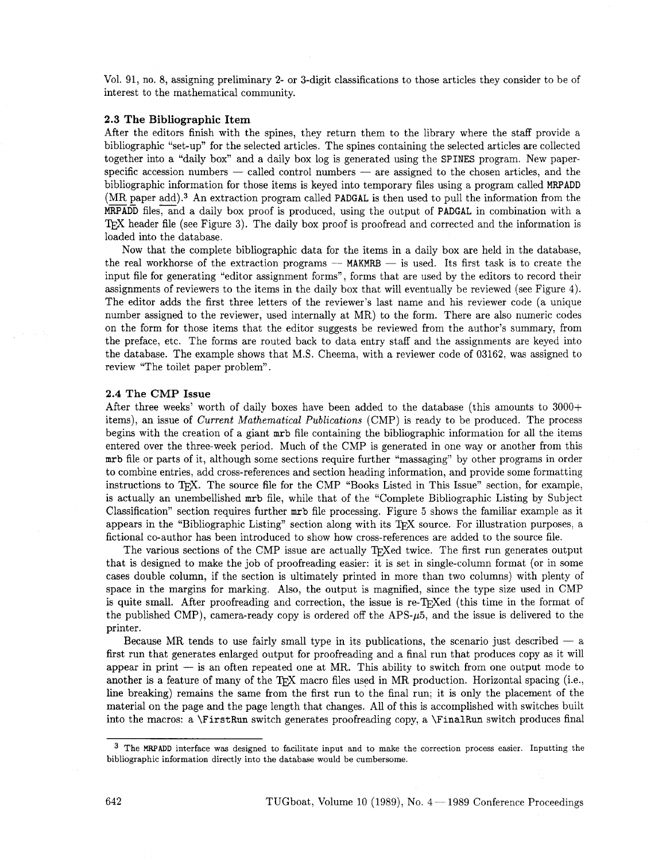Vol. 91, no. 8, assigning preliminary **2-** or 3-digit classifications to those articles they consider to be of interest to the mathematical community.

#### 2.3 The Bibliographic Item

After the editors finish with the spines, they return them to the library where the staff provide a bibliographic "set-up" for the selected articles. The spines containing the selected articles are collected together into a "daily box" and a daily box log is generated using the SPINES program. New paperspecific accession numbers  $-$  called control numbers  $-$  are assigned to the chosen articles, and the bibliographic information for those items is keyed into temporary files using a program called MRPADD  $(MR)$  paper add).<sup>3</sup> An extraction program called PADGAL is then used to pull the information from the  $\frac{1}{2}$  $MRPADD$  files, and a daily box proof is produced, using the output of PADGAL in combination with a T<sub>F</sub>X header file (see Figure 3). The daily box proof is proofread and corrected and the information is loaded into the database.

Now that the complete bibliographic data for the items in a daily box are held in the database, the real workhorse of the extraction programs  $-$  MAKMRB  $-$  is used. Its first task is to create the input file for generating "editor assignment forms", forms that are used by the editors to record their assignments of reviewers to the items in the daily box that will eventually be reviewed (see Figure 4). The editor adds the first three letters of the reviewer's last name and his reviewer code (a unique number assigned to the reviewer, used internally at MR) to the form. There are also numeric codes on the form for those items that the editor suggests be reviewed from the author's summary, from the preface, etc. The forms are routed back to data entry staff and the assignments are keyed into the database. The example shows that M.S. Cheema, with a reviewer code of 03162, was assigned to review "The toilet paper problem".

#### 2.4 The CMP Issue

After three weeks' worth of daily boxes have been added to the database (this amounts to 3000+ items), an issue of *Current Mathematical Publications* (CMP) is ready to be produced. The process begins with the creation of a giant mrb file containing the bibliographic information for all the items entered over the three-week period. Much of the CMP is generated in one way or another from this mrb file or parts of it, although some sections require further "massaging" by other programs in order to combine entries, add cross-references and section heading information, and provide some formatting instructions to T<sub>F</sub>X. The source file for the CMP "Books Listed in This Issue" section, for example, is actually an unembellished mrb file, while that of the "Complete Bibliographic Listing by Subject Classification" section requires further mrb file processing. Figure **5** shows the familiar example as it appears in the "Bibliographic Listing" section along with its T<sub>F</sub>X source. For illustration purposes, a fictional co-author has been introduced to show how cross-references are added to the source file.

The various sections of the CMP issue are actually T<sub>R</sub>Xed twice. The first run generates output that is designed to make the job of proofreading easier: it is set in single-column format (or in some cases double column, if the section is ultimately printed in more than two columns) with plenty of space in the margins for marking. Also, the output is magnified, since the type size used in CMP is quite small. After proofreading and correction, the issue is re-T<sub>F</sub>Xed (this time in the format of the published CMP), camera-ready copy is ordered off the APS- $\mu$ 5, and the issue is delivered to the printer.

Because MR tends to use fairly small type in its publications, the scenario just described  $-$  a first run that generates enlarged output for proofreading and a final run that produces copy as it will appear in print  $-$  is an often repeated one at MR. This ability to switch from one output mode to another is a feature of many of the T<sub>F</sub>X macro files used in MR production. Horizontal spacing (i.e., line breaking) remains the same from the first run to the final run; it is only the placement of the material on the page and the page length that changes. All of this is accomplished with switches built into the macros: a **\FirstRun** switch generates proofreading copy, a \FinalRun switch produces final

<sup>&</sup>lt;sup>3</sup> The MRPADD interface was designed to facilitate input and to make the correction process easier. Inputting the bibliographic information directly into the database would be cumbersome.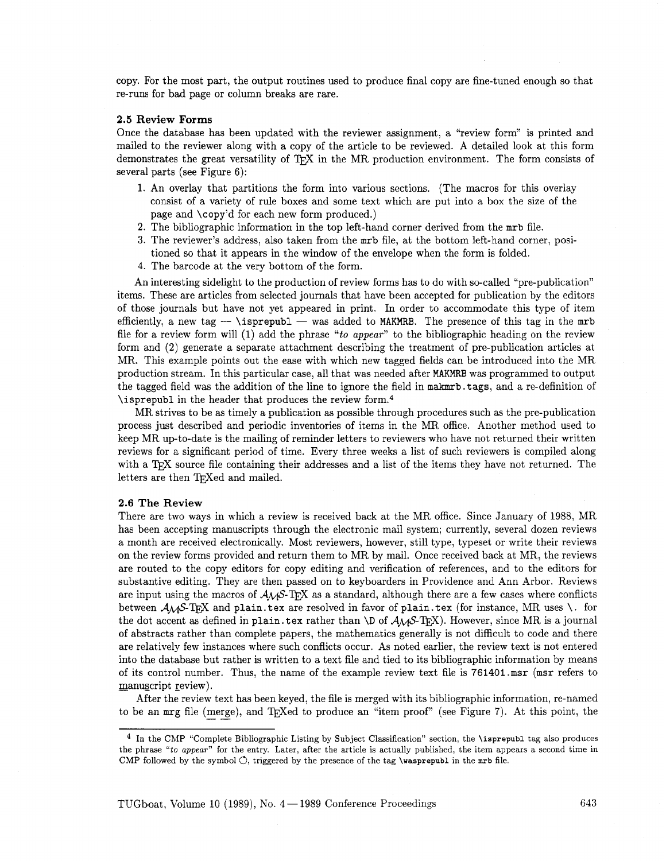copy. For the most part, the output routines used to produce final copy are fine-tuned enough so that re-runs for bad page or column breaks are rare.

#### **2.5 Review Forms**

Once the database has been updated with the reviewer assignment, a "review form" is printed and mailed to the reviewer along with a copy of the article to be reviewed. A detailed look at this form demonstrates the great versatility of T<sub>E</sub>X in the MR production environment. The form consists of several parts (see Figure 6):

- 1. An overlay that partitions the form into various sections. (The macros for this overlay consist of a variety of rule boxes and some text which are put into a box the size of the page and \copy'd for each new form produced.)
- 2. The bibliographic information in the top left-hand corner derived from the mrb file.
- **3.** The reviewer's address, also taken from the mrb file, at the bottom left-hand corner, positioned so that it appears in the window of the envelope when the form is folded.
- 4. The barcode at the very bottom of the form.

An interesting sidelight to the production of review forms has to do with so-called "pre-publication" items. These are articles from selected journals that have been accepted for publication by the editors of those journals but have not yet appeared in print. In order to accommodate this type of item efficiently, a new tag  $-$  \isprepubl - was added to MAKMRB. The presence of this tag in the mrb file for a review form will  $(1)$  add the phrase "to appear" to the bibliographic heading on the review form and (2) generate a separate attachment describing the treatment of pre-publication articles at MR. This example points out the ease with which new tagged fields can be introduced into the MR production stream. In this particular case, all that was needed after **MAKMRB** was programmed to output the tagged field was the addition of the line to ignore the field in makmrb. tags, and a re-definition of \isprepubl in the header that produces the review form.4

MR strives to be as timely a publication as possible through procedures such as the pre-publication process just described and periodic inventories of items in the MR office. Another method used to keep MR up-to-date is the mailing of reminder letters to reviewers who have not returned their written reviews for a significant period of time. Every three weeks a list of such reviewers is compiled along with a T<sub>R</sub>X source file containing their addresses and a list of the items they have not returned. The letters are then TFXed and mailed.

#### **2.6 The Review**

There are two ways in which a review is received back at the MR office. Since January of 1988, MR has been accepting manuscripts through the electronic mail system; currently, several dozen reviews a month are received electronically. Most reviewers, however, still type, typeset or write their reviews on the review forms provided and return them to MR by mail. Once received back at MR, the reviews are routed to the copy editors for copy editing and verification of references, and to the editors for substantive editing. They are then passed on to keyboarders in Providence and Ann Arbor. Reviews are input using the macros of  $A_{\mathcal{M}}S$ -T<sub>F</sub>X as a standard, although there are a few cases where conflicts between  $A_{\mathcal{M}}$ S-T<sub>E</sub>X and plain. **tex** are resolved in favor of plain. **tex** (for instance, MR uses \. for the dot accent as defined in plain. **tex** rather than **\D** of AMS-'I?@). However, since MR is a journal of abstracts rather than complete papers, the mathematics generally is not difficult to code and there are relatively few instances where such conflicts occur. As noted earlier, the review text is not entered into the database but rather is written to a text file and tied to its bibliographic information by means of its control number. Thus, the name of the example review text file is  $761401$  msr (msr refers to manuscript review).

After the review text has been keyed, the file is merged with its bibliographic information, re-named to be an mrg file (merge), and T<sub>E</sub>Xed to produce an "item proof" (see Figure 7). At this point, the w text h<br> $\frac{\text{merge}}{\cdot}$ 

In the CMP "Complete Bibliographic Listing by Subject Classification" section, the **\isprepubl** tag also produces the phrase "to *appear"* for the entry. Later, after the article is actually published, the item appears a second time in CMP followed by the symbol  $\circlearrowleft$ , triggered by the presence of the tag **\wasprepubl** in the  $mrb$  file.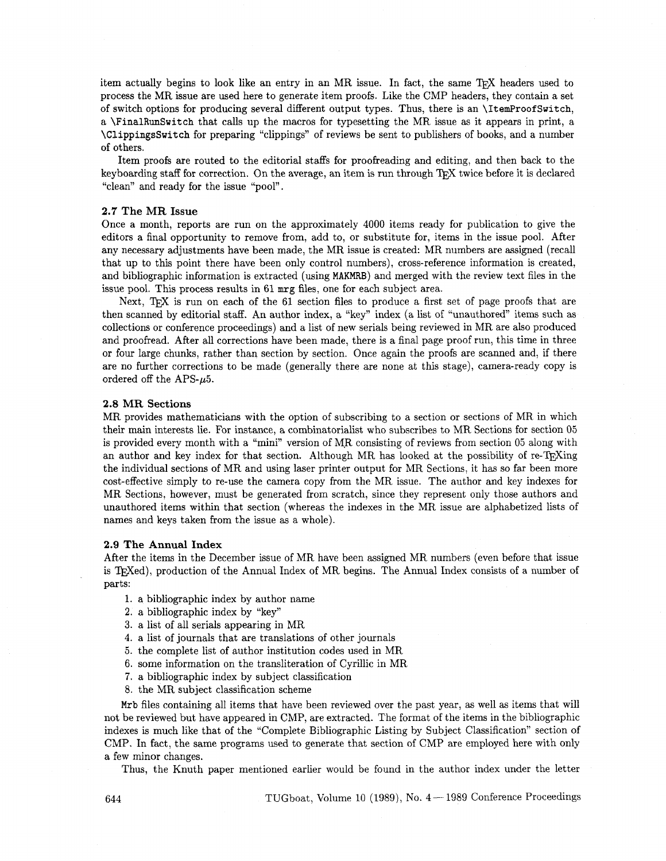item actually begins to look like an entry in an MR issue. In fact, the same  $T_F X$  headers used to process the MR issue are used here to generate item proofs. Like the CMP headers, they contain a set of switch options for producing several different output types. Thus, there is an \ItemProofSwitch, a \FinalRunSwitch that calls up the macros for typesetting the MR issue as it appears in print, a \ClippingsSwitch for preparing "clippings" of reviews be sent to publishers of books, and a number of others.

Item proofs are routed to the editorial staffs for proofreading and editing, and then back to the keyboarding staff for correction. On the average, an item is run through TEX twice before it is declared "clean" and ready for the issue "pool".

#### 2.7 **The** MR **Issue**

Once a month, reports are run on the approximately **4000** items ready for publication to give the editors a final opportunity to remove from, add to, or substitute for, items in the issue pool. After any necessary adjustments have been made, the MR issue is created: MR numbers are assigned (recall that up to this point there have been only control numbers), cross-reference information is created, and bibliographic information is extracted (using MAKMRB) and merged with the review text files in the issue pool. This process results in **61** mrg files, one for each subject area.

Next. T<sub>RX</sub> is run on each of the 61 section files to produce a first set of page proofs that are then scanned by editorial staff. An author index, a "key" index (a list of "unauthored" items such as collections or conference proceedings) and a list of new serials being reviewed in MR are also produced and proofread. After all corrections have been made, there is a final page proof run, this time in three or four large chunks, rather than section by section. Once again the proofs are scanned and, if there are no further corrections to be made (generally there are none at this stage), camera-ready copy is ordered off the APS- $\mu$ 5.

#### **2.8 MR Sections**

MR provides mathematicians with the option of subscribing to a section or sections of MR in which their main interests lie. For instance, a combinatorialist who subscribes to MR Sections for section **05**  is provided every month with a "mini" version of MR consisting of reviews from section 05 along with an author and key index for that section. Although MR has looked at the possibility of re-T<sub>F</sub>Xing the individual sections of MR and using laser printer output for MR Sections, it has so far been more cost-effective simply to re-use the camera copy from the MR issue. The author and key indexes for MR Sections, however, must be generated from scratch, since they represent only those authors and unauthored items within that section (whereas the indexes in the MR issue are alphabetized lists of names and keys taken from the issue as a whole).

#### **2.9 The Annual Index**

After the iterns in the December issue of MR have been assigned MR numbers (even before that issue is T<sub>F</sub>Xed), production of the Annual Index of MR begins. The Annual Index consists of a number of parts:

- 1. a bibliographic index by author name
- **2.** a bibliographic index by "key"
- **3.** a list of all serials appearing in MR
- **4.** a list of journals that are translations of other journals
- **5.** the complete list of author institution codes used in MR
- 6. some information on the transliteration of Cyrillic in MR
- 7. a bibliographic index by subject classification
- 8. the MR subject classification scheme

Mrb files containing all items that have been reviewed over the past year, **as** well as items that will not be reviewed but have appeared in CMP, are extracted. The format of the items in the bibliographic indexes is much like that of the "Complete Bibliographic Listing by Subject Classification" section of CMP. In fact, the same programs used to generate that section of CMP are employed here with only a few minor changes.

Thus, the Knuth paper mentioned earlier would be found in the author index under the letter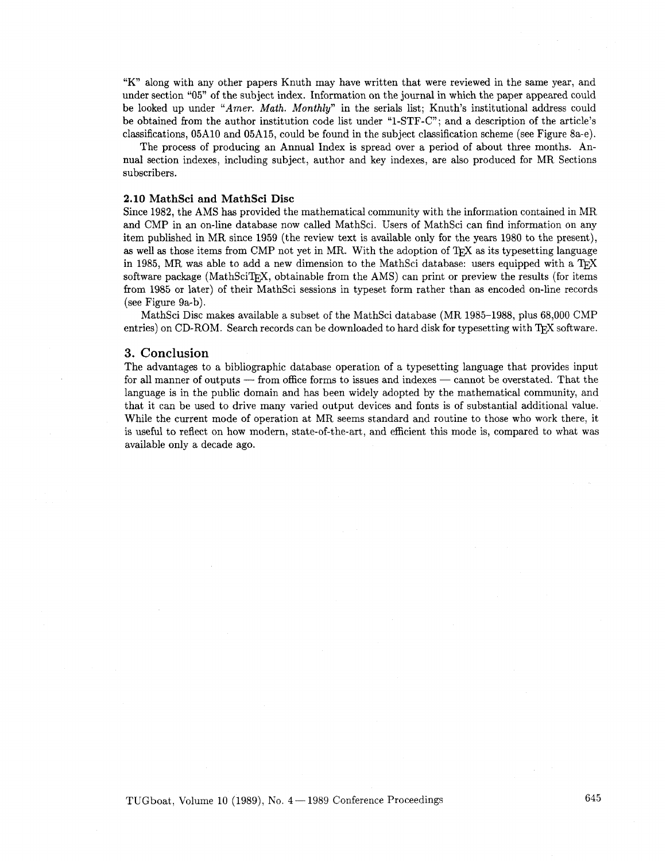"K" along with any other papers Knuth may have written that were reviewed in the same year, and under section "05" of the subject index. Information on the journal in which the paper appeared could be looked up under *"Amer. Math. Monthly"* in the serials list; Knuth's institutional address could be obtained from the author institution code list under "1-STF-C"; and a description of the article's classifications, 05A10 and 05A15, could be found in the subject classification scheme (see Figure 8a-e).

The process of producing an Annual Index is spread over a period of about three months. Annual section indexes, including subject, author and key indexes, are also produced for MR Sections subscribers.

#### 2.10 **MathSci and MathSci Disc**

Since 1982, the AMS has provided the mathematical community with the information contained in MR and CMP in an on-line database now called MathSci. Users of MathSci can find information on any item published in MR since 1959 (the review text is available only for the years 1980 to the present), as well as those items from CMP not yet in MR. With the adoption of T<sub>F</sub>X as its typesetting language in 1985, MR was able to add a new dimension to the MathSci database: users equipped with a  $T_{\rm F}X$ software package (MathSciT<sub>EX</sub>, obtainable from the AMS) can print or preview the results (for items from 1985 or later) of their MathSci sessions in typeset form rather than as encoded on-line records (see Figure 9a-b).

MathSci Disc makes available a subset of the MathSci database (MR 1985-1988, plus 68,000 CMP entries) on CD-ROM. Search records can be downloaded to hard disk for typesetting with TFX software.

#### **3. Conclusion**

The advantages to a bibliographic database operation of a typesetting language that provides input for all manner of outputs - from office forms to issues and indexes - cannot be overstated. That the language is in the public domain and has been widely adopted by the mathematical community, and that it can be used to drive many varied output devices and fonts is of substantial additional value. While the current mode of operation at MR seems standard and routine to those who work there, it is useful to reflect on how modern, state-of-the-art, and efficient this mode is, compared to what was available only a decade ago.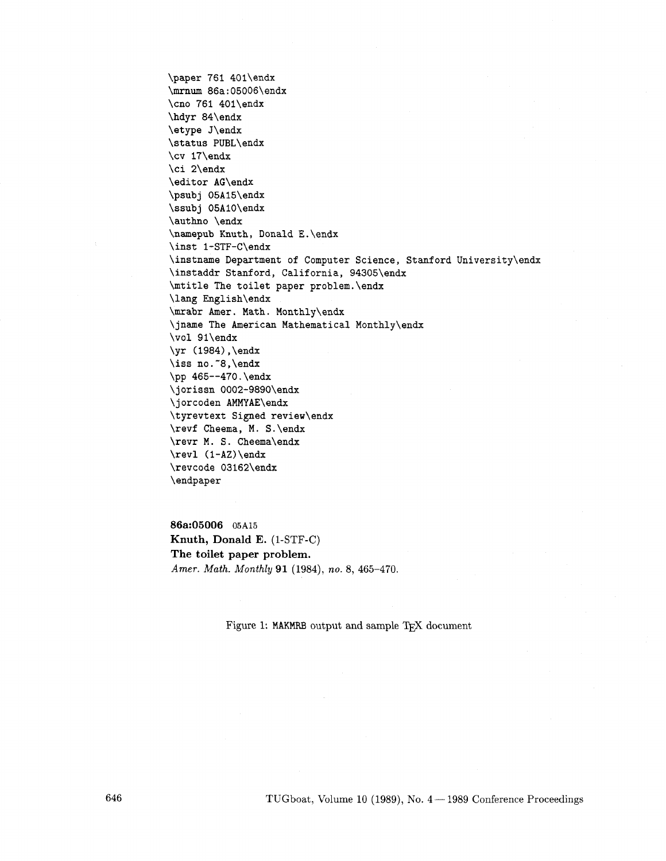\paper 761 401\endx \mrnum 86a:05006\endx \cno 761 40l\endx \hdyr 84\endx \etype J\endx \status PUBL\endx \cv 17\endx \ci 2\endx \editor AG\endx \psub j 05A15\endx \ssubj 05AlO\endx \authno \endx \namepub Knuth, Donald E.\endx \inst I-STF-C\endx \instname Department of Computer Science, Stanford University\endx \instaddr Stanford, California, 94305\endx \mtitle The toilet paper problem.\endx \lag English\endx \mrabr Amer. Math. Monthly\endx \jname The American Mathematical Monthly\endx \vol 91\endx \yr (1984) ,\endx \iss no. ~8, \endx \pp 465--470.\endx \jorissn 0002-9890\endx \jorcoden AMMYAE\endx \tyrevtext Signed review\endx \revf Cheema, M. S.\endx \revr M. S. Cheema\endx \rev1 (1-AZ) \endx \revcode 03162\endx \endpaper

**86a:05006** 05A15 **Knuth, Donald E.** (1-STF-C) **The toilet paper problem.**  *Amer. Math. Monthly 91* (1984), *no.* 8, 465-470.

Figure 1: MAKMRB output and sample TFX document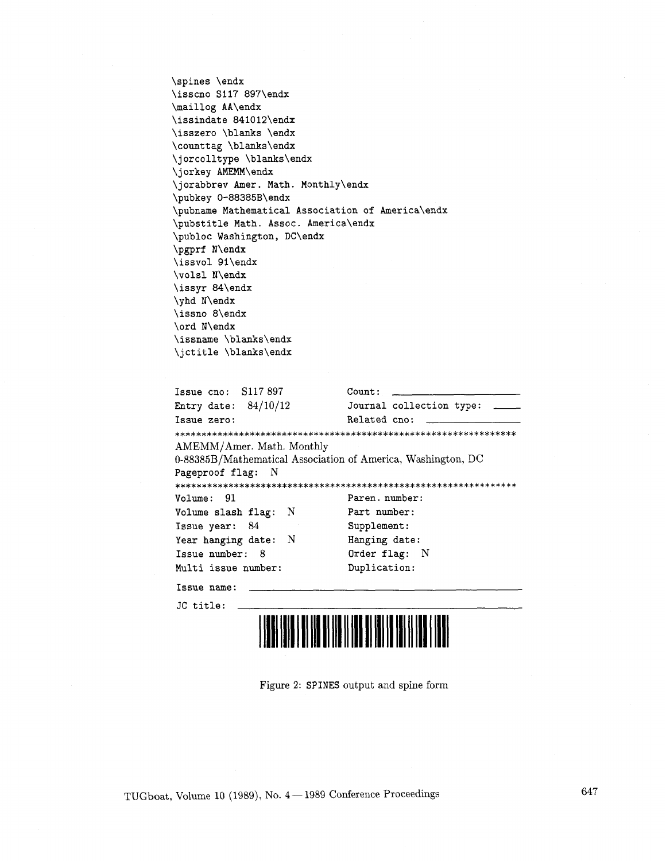\spines \endx \isscno S117 897\endx \maillog AA\endx \issindate 841012\endx \isszero \blanks \endx \counttag \blanks\endx \jorcolltype \blanks\endx \jorkey AMEMM\endx \jorabbrev Amer. Math. Monthly\endx \pubkey 0-88385B\endx \pubname Mathematical Association of America\endx \pubstitle Math. Assoc. America\endx \publoc Washington, DC\endx \pgprf N\endx \issvol 9l\endx \volsl N\endx \issyr 84\endx \yhd N\endx \issno 8\endx \ord N\endx \issname \blanks\endx \jctitle \blanks\endx

| \issname \blanks\endx                                        |                                |
|--------------------------------------------------------------|--------------------------------|
| \jctitle \blanks\endx                                        |                                |
|                                                              |                                |
| Issue cno: $S117897$                                         | Count:                         |
| Entry date: $84/10/12$                                       | Journal collection type: _____ |
| Issue zero:                                                  | Related cno:                   |
|                                                              |                                |
| AMEMM/Amer. Math. Monthly                                    |                                |
| 0-88385B/Mathematical Association of America, Washington, DC |                                |
| Pageproof flag: N                                            |                                |
|                                                              |                                |
| Volume: 91                                                   | Paren. number:                 |
| Volume slash flag: N                                         | Part number:                   |
| Issue year: 84                                               | Supplement:                    |
| Year hanging date: N                                         | Hanging date:                  |
| Issue number: 8                                              | Order flag: N                  |
| Multi issue number:                                          | Duplication:                   |
| Issue name:                                                  |                                |
| JC title:                                                    |                                |



Figure 2: SPINES output and spine form

647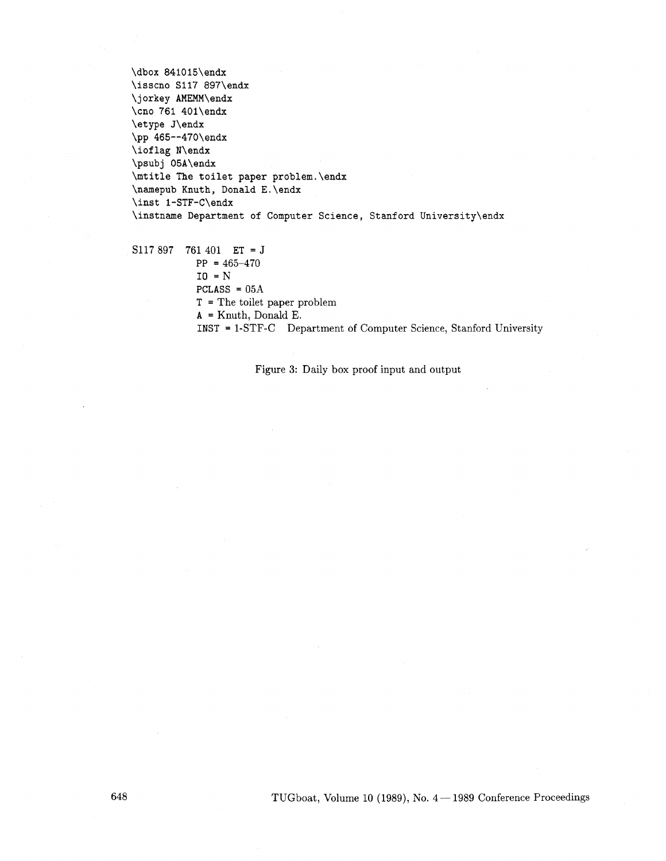**\dbox 841015\endx \isscno S117 897\endx \jorkey AMEMM\endx \cno 761 40l\endx \etype J\endx \pp 465--470\endx \iof lag N\endx \psubj 05A\endx \mtitle The toilet paper problem.\endx \namepub Knuth, Donald E. \endx \inst 1-STF-C\endx \instname Department of Computer Science, Stanford University\endx** 

S117 897 761 401 **ET** = J **PP** = 465-470

**I0** =N **PCLASS** = 05A **T** = The toilet paper problem **A** = Knuth, Donald E.

**INST** = 1-STF-C Department of Computer Science, Stanford University

Figure **3:** Daily box proof input and output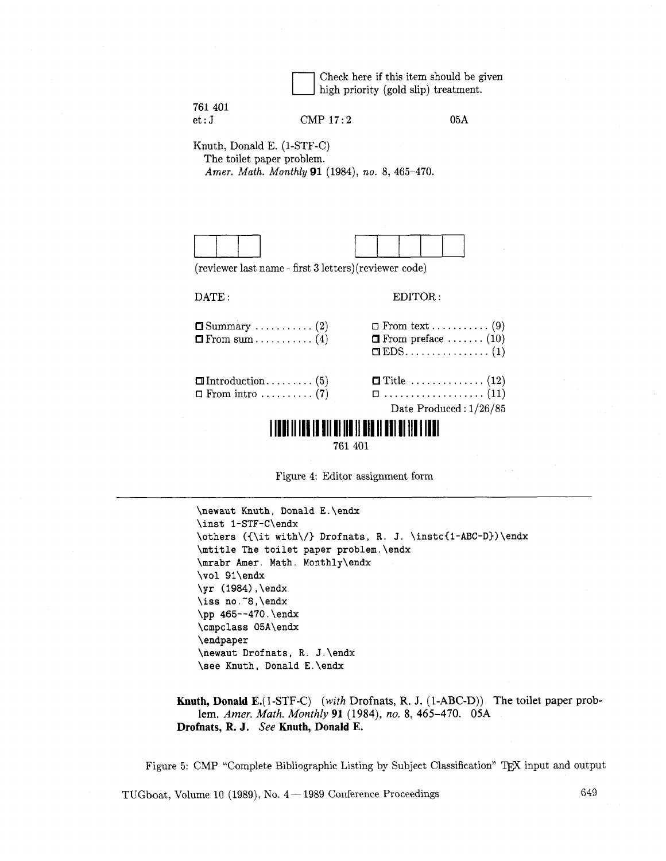|         | Check here if this item should be given                      |
|---------|--------------------------------------------------------------|
|         | $\lfloor \cdot \rfloor$ high priority (gold slip) treatment. |
| 761 401 |                                                              |

et : J CMP 17: 2 05A

Knuth, Donald E. (1-STF-C) The toilet paper problem. *Amer. Math. Monthly 91* (1984), *no.* 8, 465-470.



(reviewer last name - first **3** letters) (reviewer code)

#### DATE: EDITOR:

| $\Box$ From sum (4) | $\Box$ From preface  (10) |
|---------------------|---------------------------|
|                     | Date Produced: $1/26/85$  |

# **THE REAL PROPERTY OF A 1990 IN 1999 IN 1999 IN 1999 IN 1999**

761 401



**\newaut Knuth** , **Donald E** . **\endx \inst I-STF-C\endx \others ({\it with\/) Drofnats, R.** J. **\instc{l-ABC-D)) \endx \mtitle The toilet paper problem.\endx \mrabr her. Math. Monthly\endx \vol 9l\endx \yr (1984) ,\endx \iss no. "8, \endx \pp 465--470.\endx \cmpclass 05A\endx \endpaper \newaut Drof nats** , **R.** J . **\endx \see Knuth, Donald E. \endx** 

**Knuth, Donald** E.(l-STF-C) (with Drofnats, R. J. **(1-ABC-D))** The toilet paper problem. *Amer.* Math. Monthly **91** (1984), no. 8, 465-470. 05A **Drofnats, R. J.** *See* **Knuth, Donald E.** 

Figure 5: CMP "Complete Bibliographic Listing by Subject Classification" TEX input and output

TUGboat, Volume 10 (1989), No.  $4-1989$  Conference Proceedings 649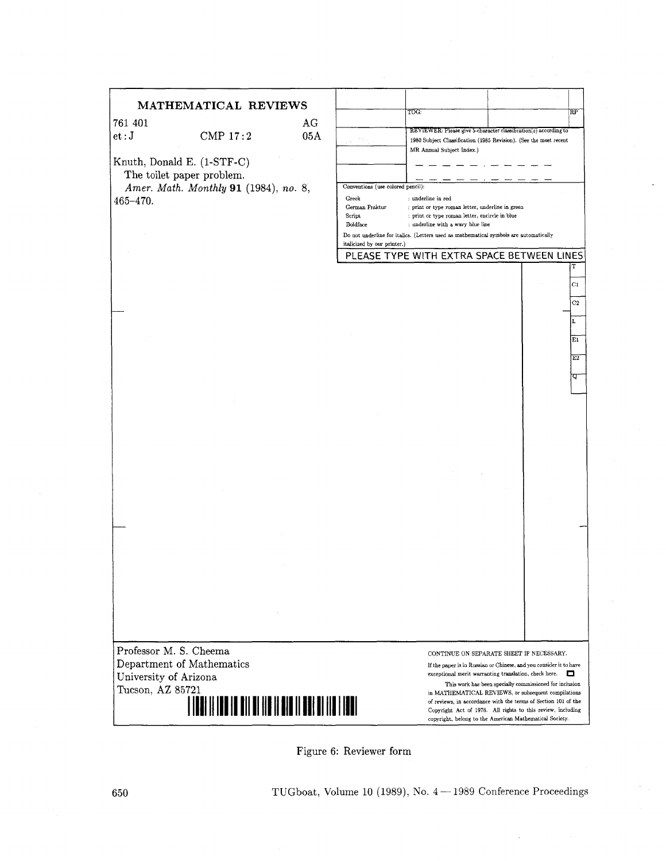### **MATHEMATIC**

| 761 401 |            | AG  |
|---------|------------|-----|
| et:J    | CMP $17:2$ | 05A |

|                          | MATHEMATICAL REVIEWS                  |     |                                   |                                                                                       |                                                                                                                |
|--------------------------|---------------------------------------|-----|-----------------------------------|---------------------------------------------------------------------------------------|----------------------------------------------------------------------------------------------------------------|
|                          |                                       |     |                                   | TOG:                                                                                  | RP                                                                                                             |
| 761 401                  |                                       | AG  |                                   | REVIEWER: Please give 5-character classification(s) according to                      |                                                                                                                |
| $\mathsf{et}:\mathbf{J}$ | CMP 17:2                              | 05A |                                   | 1980 Subject Classification (1985 Revision). (See the most recent                     |                                                                                                                |
|                          |                                       |     |                                   | MR Annual Subject Index.)                                                             |                                                                                                                |
|                          | Knuth, Donald E. (1-STF-C)            |     |                                   |                                                                                       |                                                                                                                |
|                          | The toilet paper problem.             |     |                                   |                                                                                       |                                                                                                                |
|                          | Amer. Math. Monthly 91 (1984), no. 8, |     | Conventions (use colored pencil): |                                                                                       |                                                                                                                |
| $465 - 470.$             |                                       |     | Greek<br>German Fraktur           | : underline in red<br>: print or type roman letter, underline in green                |                                                                                                                |
|                          |                                       |     | Script                            | : print or type roman letter, encircle in blue                                        |                                                                                                                |
|                          |                                       |     | Boldface                          | : underline with a wavy blue line                                                     |                                                                                                                |
|                          |                                       |     | italicized by our printer.)       | Do not underline for italics. (Letters used as mathematical symbols are automatically |                                                                                                                |
|                          |                                       |     |                                   | PLEASE TYPE WITH EXTRA SPACE BETWEEN LINES                                            |                                                                                                                |
|                          |                                       |     |                                   |                                                                                       | т                                                                                                              |
|                          |                                       |     |                                   |                                                                                       |                                                                                                                |
|                          |                                       |     |                                   |                                                                                       | C1                                                                                                             |
|                          |                                       |     |                                   |                                                                                       | C2                                                                                                             |
|                          |                                       |     |                                   |                                                                                       |                                                                                                                |
|                          |                                       |     |                                   |                                                                                       | L                                                                                                              |
|                          |                                       |     |                                   |                                                                                       | Eı                                                                                                             |
|                          |                                       |     |                                   |                                                                                       |                                                                                                                |
|                          |                                       |     |                                   |                                                                                       | E2                                                                                                             |
|                          |                                       |     |                                   |                                                                                       | ᡇ                                                                                                              |
|                          |                                       |     |                                   |                                                                                       |                                                                                                                |
|                          |                                       |     |                                   |                                                                                       |                                                                                                                |
|                          |                                       |     |                                   |                                                                                       |                                                                                                                |
|                          |                                       |     |                                   |                                                                                       |                                                                                                                |
|                          |                                       |     |                                   |                                                                                       |                                                                                                                |
|                          |                                       |     |                                   |                                                                                       |                                                                                                                |
|                          |                                       |     |                                   |                                                                                       |                                                                                                                |
|                          |                                       |     |                                   |                                                                                       |                                                                                                                |
|                          |                                       |     |                                   |                                                                                       |                                                                                                                |
|                          |                                       |     |                                   |                                                                                       |                                                                                                                |
|                          |                                       |     |                                   |                                                                                       |                                                                                                                |
|                          |                                       |     |                                   |                                                                                       |                                                                                                                |
|                          |                                       |     |                                   |                                                                                       |                                                                                                                |
|                          |                                       |     |                                   |                                                                                       |                                                                                                                |
|                          |                                       |     |                                   |                                                                                       |                                                                                                                |
|                          |                                       |     |                                   |                                                                                       |                                                                                                                |
|                          |                                       |     |                                   |                                                                                       |                                                                                                                |
|                          |                                       |     |                                   |                                                                                       |                                                                                                                |
|                          |                                       |     |                                   |                                                                                       |                                                                                                                |
|                          |                                       |     |                                   |                                                                                       |                                                                                                                |
|                          |                                       |     |                                   |                                                                                       |                                                                                                                |
| Professor M. S. Cheema   |                                       |     |                                   |                                                                                       | CONTINUE ON SEPARATE SHEET IF NECESSARY.                                                                       |
|                          | Department of Mathematics             |     |                                   |                                                                                       | If the paper is in Russian or Chinese, and you consider it to have                                             |
| University of Arizona    |                                       |     |                                   |                                                                                       | exceptional merit warranting translation, check here.<br>□                                                     |
| Tucson, AZ 85721         |                                       |     |                                   |                                                                                       | This work has been specially commissioned for inclusion<br>in MATHEMATICAL REVIEWS, or subsequent compilations |
|                          |                                       |     |                                   |                                                                                       | of reviews, in accordance with the terms of Section 101 of the                                                 |
|                          |                                       |     |                                   |                                                                                       | Copyright Act of 1976. All rights to this review, including                                                    |

Figure 6: Reviewer form

TUGboat, Volume 10 (1989), No.  $4 - 1989$  Conference Proceedings

Copyright Act of 1976. All nghts to this review. inciudiq copyright, belong to the American Mathematical Society.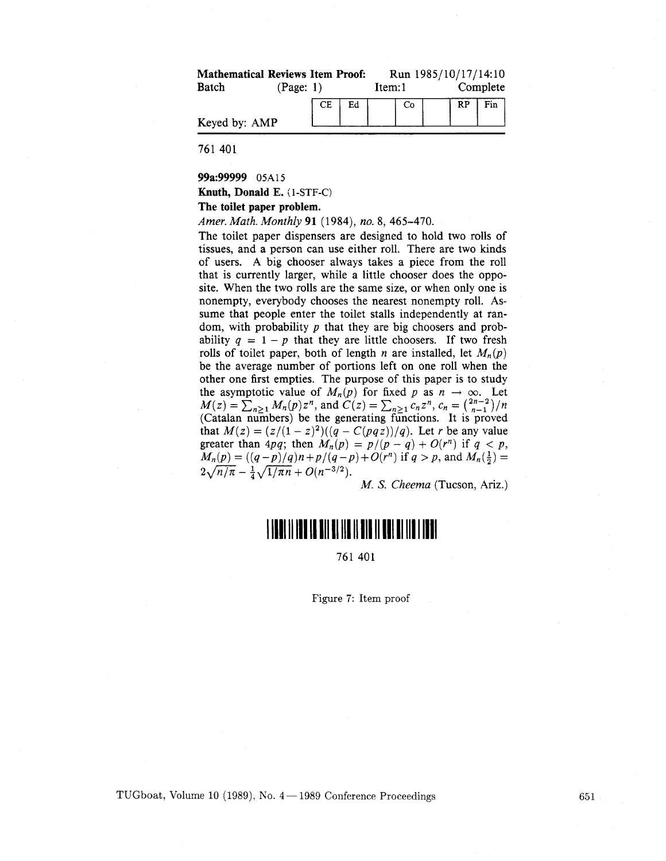| <b>Mathematical Reviews Item Proof:</b> |           |    |        |    |          |  | Run 1985/10/17/14:10 |
|-----------------------------------------|-----------|----|--------|----|----------|--|----------------------|
| Batch                                   | (Page: 1) |    | Item:1 |    | Complete |  |                      |
|                                         | CE.       | Ed |        | Co |          |  | $RP$   Fin           |
| Keyed by: AMP                           |           |    |        |    |          |  |                      |

761 401

**99a:99999 O5Al5** 

**Knuth, Donald E.** ( **1** -STF-C)

#### **The toilet paper problem.**

Amer. Math. Monthly **91** (1984), no. 8, 465-470.

The toilet paper dispensers are designed to hold two rolls of tissues, and a person can use either roll. There are two kinds of users. A big chooser always takes a piece from the roll that is currently larger, while a little chooser does the opposite. When the two rolls are the same size, or when only one is nonempty, everybody chooses the nearest nonempty roll. Assume that people enter the toilet stalls independently at random, with probability  $p$  that they are big choosers and probability  $q = 1 - p$  that they are little choosers. If two fresh rolls of toilet paper, both of length *n* are installed, let  $M_n(p)$ be the average number of portions left on one roll when the other one first empties. The purpose of this paper is to study the asymptotic value of  $M_n(p)$  for fixed p as  $n \to \infty$ . Let  $M(z) = \sum_{n\geq 1} M_n(p) z^n$ , and  $C(z) = \sum_{n\geq 1} c_n z^n$ ,  $c_n = \binom{2n-2}{n-1}/n$ (Catalan numbers) be the generating functions. It is proved that  $M(z) = (z/(1-z)^2)((q - C(pqz))/q)$ . Let r be any value greater than 4pq; then  $M_n(p) = p/(p-q) + O(r^n)$  if  $q < p$ ,  $M_n(p) = ((q-p)/q)n + p/(q-p) + O(r^n)$  if  $q > p$ , and  $M_n(\frac{1}{2}) =$  $2\sqrt{n/\pi} - \frac{1}{4}\sqrt{1/\pi n} + O(n^{-3/2}).$ 

M. *S.* Cheema (Tucson, **Ariz.)** 

# 

761 401

Figure **7:** Item proof

TUGboat, Volume 10 (1989), No.  $4 - 1989$  Conference Proceedings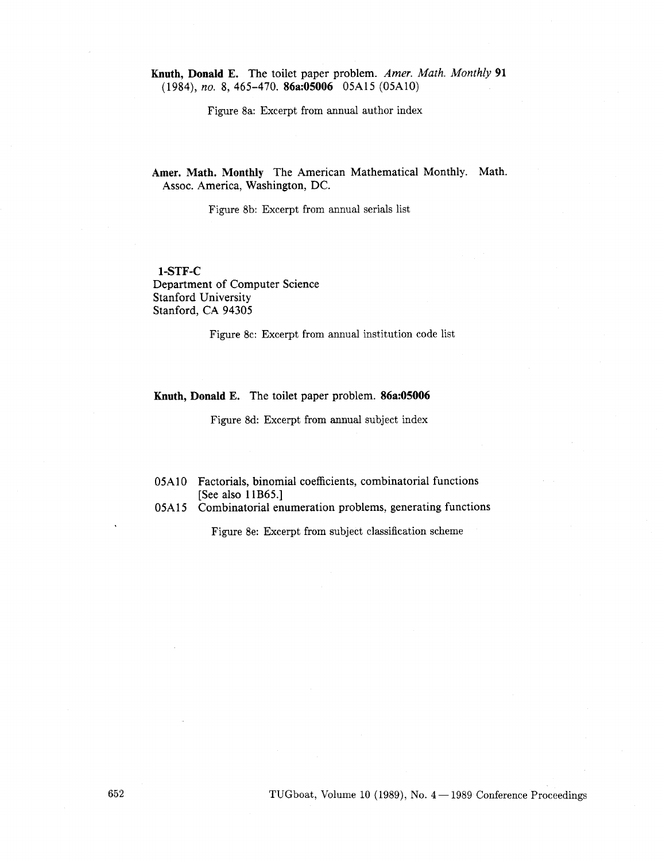**Knuth, Donald E.** The toilet paper problem. *Amer. Math. Monthly* **91**  (1984), *no.* 8, 465-470. **86a:05006** 05A15 (05A10)

Figure 8a: Excerpt from annual author index

**Amer. Math. Monthly** The American Mathematical Monthly. Math. Assoc. America, Washington, DC.

Figure 8b: Excerpt from annual serials list

### **1-STF-C**  Department of Computer Science Stanford University Stanford, CA 94305

Figure 8c: Excerpt from annual institution code list

#### **Knuth, Donald E.** The toilet paper problem. **86a:05006**

Figure 8d: Excerpt from annual subject index

### O5A 10 Factorials, binomial coefficients, combinatorial functions [See also **1** lB65.1

O5A 15 Combinatorial enumeration problems, generating functions

Figure 8e: Excerpt from subject classification scheme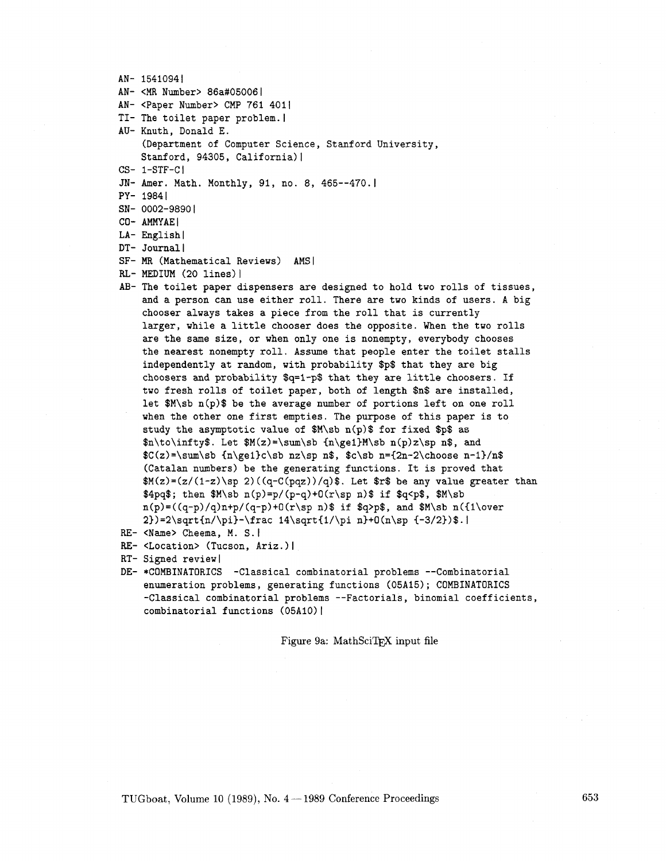```
AN- 15410941 
AN- <MR Number> 86a#050061 
AN- <Paper Number> CMP 761 4011 
TI- The toilet paper problem.
AU- Knuth, Donald E. 
    (Department of Computer Science, Stanford University, 
    Stanford, 94305, California) |
CS- 1-STF-CI 
JN- Amer. Math. Monthly, 91, no. 8, 465--470.
PY- 19841 
SN- 0002-9890|
CO- AMMYAEl 
LA- English|
DT- Journal l
SF- MR (Mathematical Reviews) AMSI 
RL- MEDIUM (20 lines) I
AB- The toilet paper dispensers are designed to hold two rolls of tissues, 
    and a person can use either roll. There are two kinds of users. A big 
    chooser always takes a piece from the roll that is currently 
    larger, while a little chooser does the opposite. When the two rolls 
    are the same size, or when only one is nonempty, everybody chooses 
    the nearest nonempty roll. Assume that people enter the toilet stalls 
    independently at random, with probability $p$ that they are big 
    choosers and probability $q=l-p$ that they are little choosers. If 
    two fresh rolls of toilet paper, both of length $n$ are installed, 
    let $M\sb n(p)$ be the average number of portions left on one roll 
    when the other one first empties. The purpose of this paper is to 
    study the asymptotic value of $M\sb n(p)$ for fixed $p$ as 
    \hbox{\tt Anto\infty}. Let M(z)=\sum\sb{h\ge1}M\sb{n(p)z\sp{n}, and}C(z)=\sum\s b \{n\ge1\}c\sb nz\sp n$, $c\sb n={2n-2\choose n-1}/n$
    (Catalan numbers) be the generating functions. It is proved that 
    $M(z)=(z/ (1-zl\sp 2) ((q-C(pqz1) /q) $ . Let $r$ be any value greater than 
    \pmb{\Rightarrow} $4pq$; then M\sb n(p)=p/(p-q)+0(r\sp n)$ if \qmb{\Rightarrow} q<p$, M\sbn(p)=((q-p)/q)n+p/(q-p)+0(r\sp n)\ if $q>p$, and $M\sb n({1\over
    2}) =2\sqrt{n/\pi}-\frac 14\sqrt{1/\pi n}+0(n\sp {-3/2})$.
RE- <Name> Cheema, M. S. |
RE- <Location> (Tucson, Ariz.) l
RT- Signed review|
```
DE- \*COMBINATORICS -Classical combinatorial problems --Combinatorial enumeration problems, generating functions (05A15); COMBINATORICS -Classical combinatorial problems --Factorials, binomial coefficients, combinatorial functions (05A10) |

Figure 9a: MathSciTEX input file

TUGboat, Volume 10 (1989), No.  $4-1989$  Conference Proceedings

653